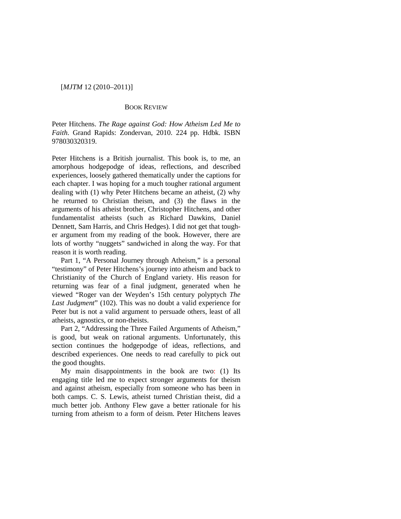## [*MJTM* 12 (2010–2011)]

## BOOK REVIEW

Peter Hitchens. *The Rage against God: How Atheism Led Me to Faith*. Grand Rapids: Zondervan, 2010. 224 pp. Hdbk. ISBN 978030320319.

Peter Hitchens is a British journalist. This book is, to me, an amorphous hodgepodge of ideas, reflections, and described experiences, loosely gathered thematically under the captions for each chapter. I was hoping for a much tougher rational argument dealing with (1) why Peter Hitchens became an atheist, (2) why he returned to Christian theism, and (3) the flaws in the arguments of his atheist brother, Christopher Hitchens, and other fundamentalist atheists (such as Richard Dawkins, Daniel Dennett, Sam Harris, and Chris Hedges). I did not get that tougher argument from my reading of the book. However, there are lots of worthy "nuggets" sandwiched in along the way. For that reason it is worth reading.

Part 1, "A Personal Journey through Atheism," is a personal "testimony" of Peter Hitchens's journey into atheism and back to Christianity of the Church of England variety. His reason for returning was fear of a final judgment, generated when he viewed "Roger van der Weyden's 15th century polyptych *The Last Judgment*" (102). This was no doubt a valid experience for Peter but is not a valid argument to persuade others, least of all atheists, agnostics, or non-theists.

Part 2, "Addressing the Three Failed Arguments of Atheism," is good, but weak on rational arguments. Unfortunately, this section continues the hodgepodge of ideas, reflections, and described experiences. One needs to read carefully to pick out the good thoughts.

My main disappointments in the book are two: (1) Its engaging title led me to expect stronger arguments for theism and against atheism, especially from someone who has been in both camps. C. S. Lewis, atheist turned Christian theist, did a much better job. Anthony Flew gave a better rationale for his turning from atheism to a form of deism. Peter Hitchens leaves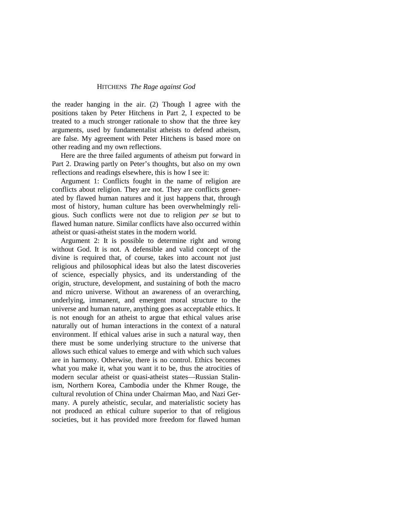## HITCHENS *The Rage against God*

the reader hanging in the air. (2) Though I agree with the positions taken by Peter Hitchens in Part 2, I expected to be treated to a much stronger rationale to show that the three key arguments, used by fundamentalist atheists to defend atheism, are false. My agreement with Peter Hitchens is based more on other reading and my own reflections.

Here are the three failed arguments of atheism put forward in Part 2. Drawing partly on Peter's thoughts, but also on my own reflections and readings elsewhere, this is how I see it:

Argument 1: Conflicts fought in the name of religion are conflicts about religion. They are not. They are conflicts generated by flawed human natures and it just happens that, through most of history, human culture has been overwhelmingly religious. Such conflicts were not due to religion *per se* but to flawed human nature. Similar conflicts have also occurred within atheist or quasi-atheist states in the modern world.

Argument 2: It is possible to determine right and wrong without God. It is not. A defensible and valid concept of the divine is required that, of course, takes into account not just religious and philosophical ideas but also the latest discoveries of science, especially physics, and its understanding of the origin, structure, development, and sustaining of both the macro and micro universe. Without an awareness of an overarching, underlying, immanent, and emergent moral structure to the universe and human nature, anything goes as acceptable ethics. It is not enough for an atheist to argue that ethical values arise naturally out of human interactions in the context of a natural environment. If ethical values arise in such a natural way, then there must be some underlying structure to the universe that allows such ethical values to emerge and with which such values are in harmony. Otherwise, there is no control. Ethics becomes what you make it, what you want it to be, thus the atrocities of modern secular atheist or quasi-atheist states—Russian Stalinism, Northern Korea, Cambodia under the Khmer Rouge, the cultural revolution of China under Chairman Mao, and Nazi Germany. A purely atheistic, secular, and materialistic society has not produced an ethical culture superior to that of religious societies, but it has provided more freedom for flawed human